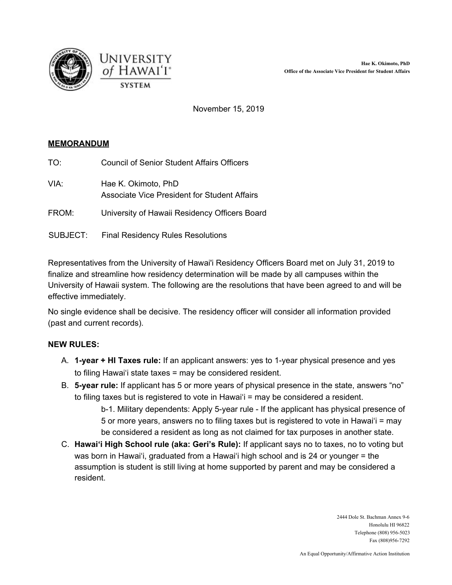



November 15, 2019

## **MEMORANDUM**

- TO: Council of Senior Student Affairs Officers
- VIA: Hae K. Okimoto, PhD Associate Vice President for Student Affairs
- FROM: University of Hawaii Residency Officers Board
- SUBJECT: Final Residency Rules Resolutions

Representatives from the University of Hawai'i Residency Officers Board met on July 31, 2019 to finalize and streamline how residency determination will be made by all campuses within the University of Hawaii system. The following are the resolutions that have been agreed to and will be effective immediately.

No single evidence shall be decisive. The residency officer will consider all information provided (past and current records).

## **NEW RULES:**

- A. **1-year + HI Taxes rule:** If an applicant answers: yes to 1-year physical presence and yes to filing Hawai'i state taxes = may be considered resident.
- B. **5-year rule:** If applicant has 5 or more years of physical presence in the state, answers "no" to filing taxes but is registered to vote in Hawai'i = may be considered a resident.
	- b-1. Military dependents: Apply 5-year rule If the applicant has physical presence of 5 or more years, answers no to filing taxes but is registered to vote in Hawai'i = may be considered a resident as long as not claimed for tax purposes in another state.
- C. **Hawai'i High School rule (aka: Geri's Rule):** If applicant says no to taxes, no to voting but was born in Hawai'i, graduated from a Hawai'i high school and is 24 or younger = the assumption is student is still living at home supported by parent and may be considered a resident.

2444 Dole St. Bachman Annex 9-6 Honolulu HI 96822 Telephone (808) 956-5023 Fax (808)956-7292